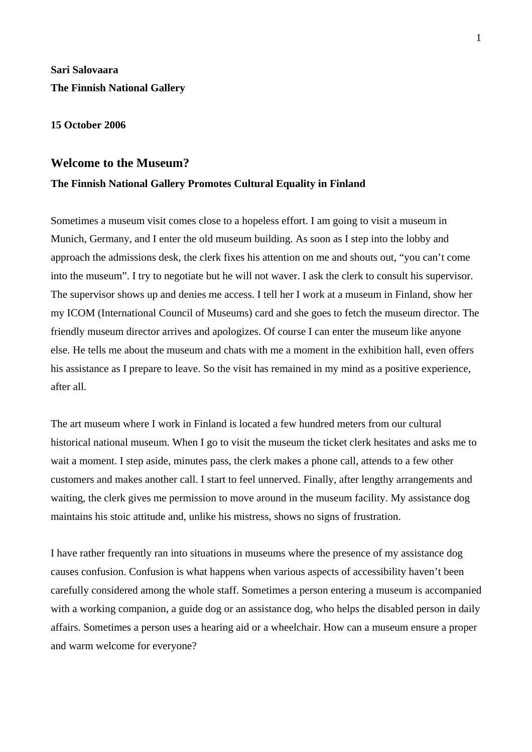# **Sari Salovaara The Finnish National Gallery**

#### **15 October 2006**

# **Welcome to the Museum?**

# **The Finnish National Gallery Promotes Cultural Equality in Finland**

Sometimes a museum visit comes close to a hopeless effort. I am going to visit a museum in Munich, Germany, and I enter the old museum building. As soon as I step into the lobby and approach the admissions desk, the clerk fixes his attention on me and shouts out, "you can't come into the museum". I try to negotiate but he will not waver. I ask the clerk to consult his supervisor. The supervisor shows up and denies me access. I tell her I work at a museum in Finland, show her my ICOM (International Council of Museums) card and she goes to fetch the museum director. The friendly museum director arrives and apologizes. Of course I can enter the museum like anyone else. He tells me about the museum and chats with me a moment in the exhibition hall, even offers his assistance as I prepare to leave. So the visit has remained in my mind as a positive experience, after all.

The art museum where I work in Finland is located a few hundred meters from our cultural historical national museum. When I go to visit the museum the ticket clerk hesitates and asks me to wait a moment. I step aside, minutes pass, the clerk makes a phone call, attends to a few other customers and makes another call. I start to feel unnerved. Finally, after lengthy arrangements and waiting, the clerk gives me permission to move around in the museum facility. My assistance dog maintains his stoic attitude and, unlike his mistress, shows no signs of frustration.

I have rather frequently ran into situations in museums where the presence of my assistance dog causes confusion. Confusion is what happens when various aspects of accessibility haven't been carefully considered among the whole staff. Sometimes a person entering a museum is accompanied with a working companion, a guide dog or an assistance dog, who helps the disabled person in daily affairs. Sometimes a person uses a hearing aid or a wheelchair. How can a museum ensure a proper and warm welcome for everyone?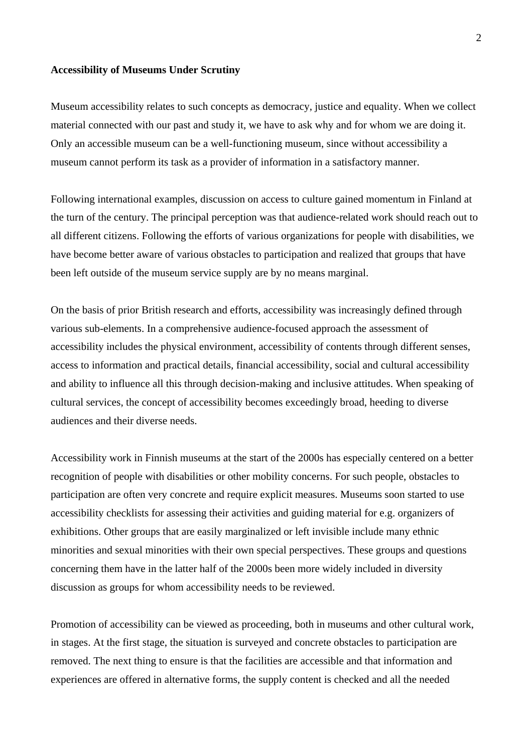#### **Accessibility of Museums Under Scrutiny**

Museum accessibility relates to such concepts as democracy, justice and equality. When we collect material connected with our past and study it, we have to ask why and for whom we are doing it. Only an accessible museum can be a well-functioning museum, since without accessibility a museum cannot perform its task as a provider of information in a satisfactory manner.

Following international examples, discussion on access to culture gained momentum in Finland at the turn of the century. The principal perception was that audience-related work should reach out to all different citizens. Following the efforts of various organizations for people with disabilities, we have become better aware of various obstacles to participation and realized that groups that have been left outside of the museum service supply are by no means marginal.

On the basis of prior British research and efforts, accessibility was increasingly defined through various sub-elements. In a comprehensive audience-focused approach the assessment of accessibility includes the physical environment, accessibility of contents through different senses, access to information and practical details, financial accessibility, social and cultural accessibility and ability to influence all this through decision-making and inclusive attitudes. When speaking of cultural services, the concept of accessibility becomes exceedingly broad, heeding to diverse audiences and their diverse needs.

Accessibility work in Finnish museums at the start of the 2000s has especially centered on a better recognition of people with disabilities or other mobility concerns. For such people, obstacles to participation are often very concrete and require explicit measures. Museums soon started to use accessibility checklists for assessing their activities and guiding material for e.g. organizers of exhibitions. Other groups that are easily marginalized or left invisible include many ethnic minorities and sexual minorities with their own special perspectives. These groups and questions concerning them have in the latter half of the 2000s been more widely included in diversity discussion as groups for whom accessibility needs to be reviewed.

Promotion of accessibility can be viewed as proceeding, both in museums and other cultural work, in stages. At the first stage, the situation is surveyed and concrete obstacles to participation are removed. The next thing to ensure is that the facilities are accessible and that information and experiences are offered in alternative forms, the supply content is checked and all the needed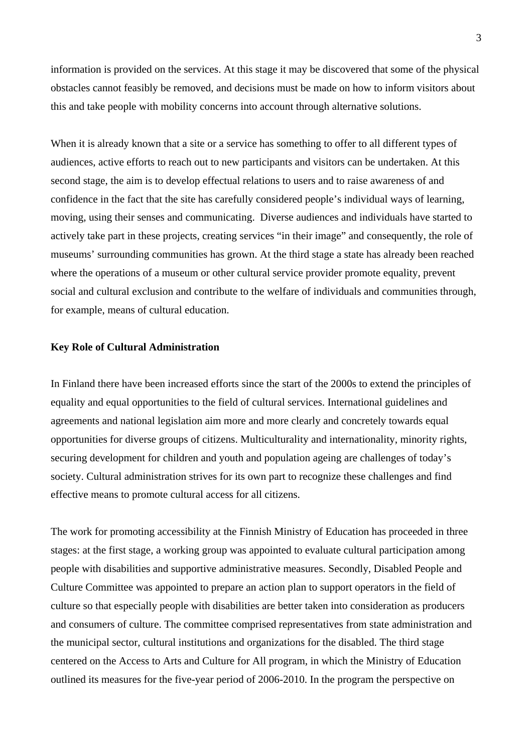information is provided on the services. At this stage it may be discovered that some of the physical obstacles cannot feasibly be removed, and decisions must be made on how to inform visitors about this and take people with mobility concerns into account through alternative solutions.

When it is already known that a site or a service has something to offer to all different types of audiences, active efforts to reach out to new participants and visitors can be undertaken. At this second stage, the aim is to develop effectual relations to users and to raise awareness of and confidence in the fact that the site has carefully considered people's individual ways of learning, moving, using their senses and communicating. Diverse audiences and individuals have started to actively take part in these projects, creating services "in their image" and consequently, the role of museums' surrounding communities has grown. At the third stage a state has already been reached where the operations of a museum or other cultural service provider promote equality, prevent social and cultural exclusion and contribute to the welfare of individuals and communities through, for example, means of cultural education.

# **Key Role of Cultural Administration**

In Finland there have been increased efforts since the start of the 2000s to extend the principles of equality and equal opportunities to the field of cultural services. International guidelines and agreements and national legislation aim more and more clearly and concretely towards equal opportunities for diverse groups of citizens. Multiculturality and internationality, minority rights, securing development for children and youth and population ageing are challenges of today's society. Cultural administration strives for its own part to recognize these challenges and find effective means to promote cultural access for all citizens.

The work for promoting accessibility at the Finnish Ministry of Education has proceeded in three stages: at the first stage, a working group was appointed to evaluate cultural participation among people with disabilities and supportive administrative measures. Secondly, Disabled People and Culture Committee was appointed to prepare an action plan to support operators in the field of culture so that especially people with disabilities are better taken into consideration as producers and consumers of culture. The committee comprised representatives from state administration and the municipal sector, cultural institutions and organizations for the disabled. The third stage centered on the Access to Arts and Culture for All program, in which the Ministry of Education outlined its measures for the five-year period of 2006-2010. In the program the perspective on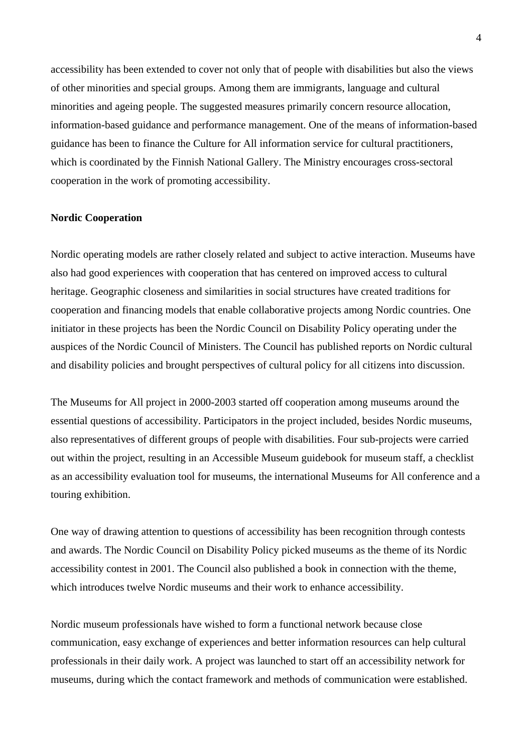accessibility has been extended to cover not only that of people with disabilities but also the views of other minorities and special groups. Among them are immigrants, language and cultural minorities and ageing people. The suggested measures primarily concern resource allocation, information-based guidance and performance management. One of the means of information-based guidance has been to finance the Culture for All information service for cultural practitioners, which is coordinated by the Finnish National Gallery. The Ministry encourages cross-sectoral cooperation in the work of promoting accessibility.

#### **Nordic Cooperation**

Nordic operating models are rather closely related and subject to active interaction. Museums have also had good experiences with cooperation that has centered on improved access to cultural heritage. Geographic closeness and similarities in social structures have created traditions for cooperation and financing models that enable collaborative projects among Nordic countries. One initiator in these projects has been the Nordic Council on Disability Policy operating under the auspices of the Nordic Council of Ministers. The Council has published reports on Nordic cultural and disability policies and brought perspectives of cultural policy for all citizens into discussion.

The Museums for All project in 2000-2003 started off cooperation among museums around the essential questions of accessibility. Participators in the project included, besides Nordic museums, also representatives of different groups of people with disabilities. Four sub-projects were carried out within the project, resulting in an Accessible Museum guidebook for museum staff, a checklist as an accessibility evaluation tool for museums, the international Museums for All conference and a touring exhibition.

One way of drawing attention to questions of accessibility has been recognition through contests and awards. The Nordic Council on Disability Policy picked museums as the theme of its Nordic accessibility contest in 2001. The Council also published a book in connection with the theme, which introduces twelve Nordic museums and their work to enhance accessibility.

Nordic museum professionals have wished to form a functional network because close communication, easy exchange of experiences and better information resources can help cultural professionals in their daily work. A project was launched to start off an accessibility network for museums, during which the contact framework and methods of communication were established.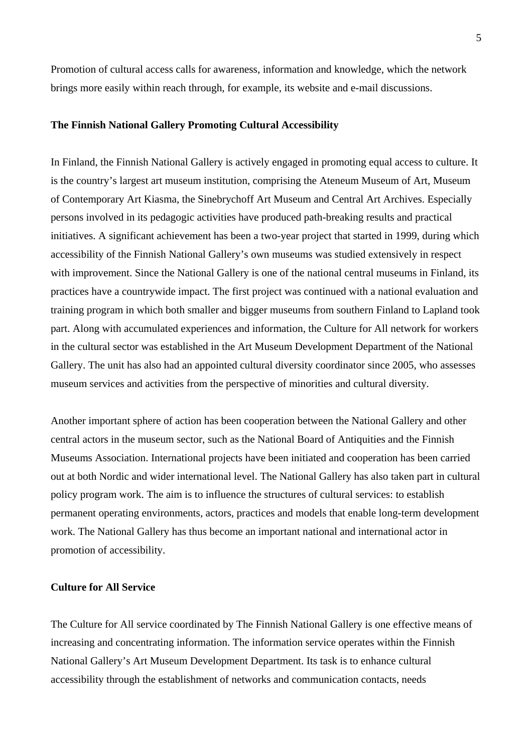Promotion of cultural access calls for awareness, information and knowledge, which the network brings more easily within reach through, for example, its website and e-mail discussions.

#### **The Finnish National Gallery Promoting Cultural Accessibility**

In Finland, the Finnish National Gallery is actively engaged in promoting equal access to culture. It is the country's largest art museum institution, comprising the Ateneum Museum of Art, Museum of Contemporary Art Kiasma, the Sinebrychoff Art Museum and Central Art Archives. Especially persons involved in its pedagogic activities have produced path-breaking results and practical initiatives. A significant achievement has been a two-year project that started in 1999, during which accessibility of the Finnish National Gallery's own museums was studied extensively in respect with improvement. Since the National Gallery is one of the national central museums in Finland, its practices have a countrywide impact. The first project was continued with a national evaluation and training program in which both smaller and bigger museums from southern Finland to Lapland took part. Along with accumulated experiences and information, the Culture for All network for workers in the cultural sector was established in the Art Museum Development Department of the National Gallery. The unit has also had an appointed cultural diversity coordinator since 2005, who assesses museum services and activities from the perspective of minorities and cultural diversity.

Another important sphere of action has been cooperation between the National Gallery and other central actors in the museum sector, such as the National Board of Antiquities and the Finnish Museums Association. International projects have been initiated and cooperation has been carried out at both Nordic and wider international level. The National Gallery has also taken part in cultural policy program work. The aim is to influence the structures of cultural services: to establish permanent operating environments, actors, practices and models that enable long-term development work. The National Gallery has thus become an important national and international actor in promotion of accessibility.

#### **Culture for All Service**

The Culture for All service coordinated by The Finnish National Gallery is one effective means of increasing and concentrating information. The information service operates within the Finnish National Gallery's Art Museum Development Department. Its task is to enhance cultural accessibility through the establishment of networks and communication contacts, needs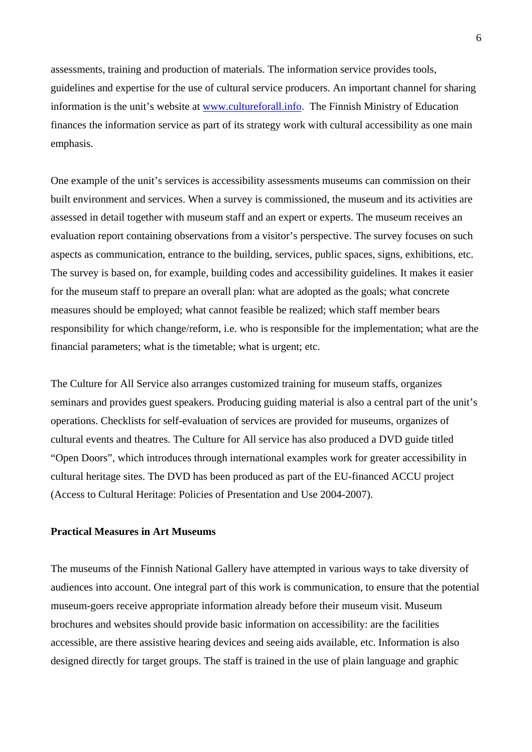assessments, training and production of materials. The information service provides tools, guidelines and expertise for the use of cultural service producers. An important channel for sharing information is the unit's website at www.cultureforall.info. The Finnish Ministry of Education finances the information service as part of its strategy work with cultural accessibility as one main emphasis.

One example of the unit's services is accessibility assessments museums can commission on their built environment and services. When a survey is commissioned, the museum and its activities are assessed in detail together with museum staff and an expert or experts. The museum receives an evaluation report containing observations from a visitor's perspective. The survey focuses on such aspects as communication, entrance to the building, services, public spaces, signs, exhibitions, etc. The survey is based on, for example, building codes and accessibility guidelines. It makes it easier for the museum staff to prepare an overall plan: what are adopted as the goals; what concrete measures should be employed; what cannot feasible be realized; which staff member bears responsibility for which change/reform, i.e. who is responsible for the implementation; what are the financial parameters; what is the timetable; what is urgent; etc.

The Culture for All Service also arranges customized training for museum staffs, organizes seminars and provides guest speakers. Producing guiding material is also a central part of the unit's operations. Checklists for self-evaluation of services are provided for museums, organizes of cultural events and theatres. The Culture for All service has also produced a DVD guide titled "Open Doors", which introduces through international examples work for greater accessibility in cultural heritage sites. The DVD has been produced as part of the EU-financed ACCU project (Access to Cultural Heritage: Policies of Presentation and Use 2004-2007).

## **Practical Measures in Art Museums**

The museums of the Finnish National Gallery have attempted in various ways to take diversity of audiences into account. One integral part of this work is communication, to ensure that the potential museum-goers receive appropriate information already before their museum visit. Museum brochures and websites should provide basic information on accessibility: are the facilities accessible, are there assistive hearing devices and seeing aids available, etc. Information is also designed directly for target groups. The staff is trained in the use of plain language and graphic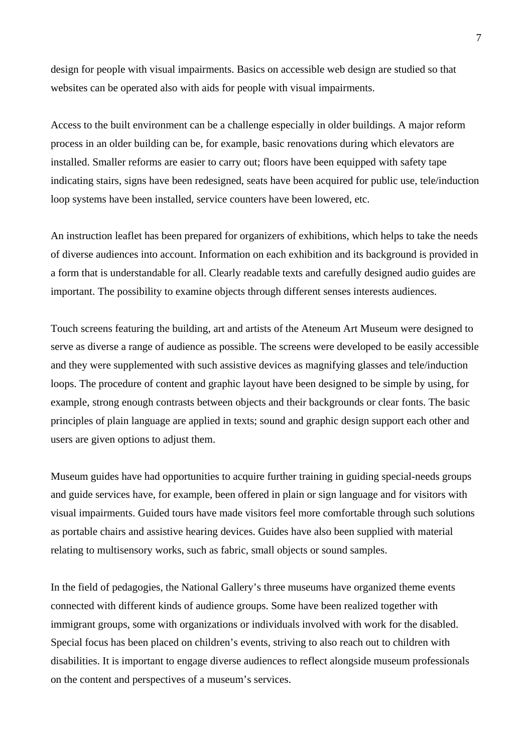design for people with visual impairments. Basics on accessible web design are studied so that websites can be operated also with aids for people with visual impairments.

Access to the built environment can be a challenge especially in older buildings. A major reform process in an older building can be, for example, basic renovations during which elevators are installed. Smaller reforms are easier to carry out; floors have been equipped with safety tape indicating stairs, signs have been redesigned, seats have been acquired for public use, tele/induction loop systems have been installed, service counters have been lowered, etc.

An instruction leaflet has been prepared for organizers of exhibitions, which helps to take the needs of diverse audiences into account. Information on each exhibition and its background is provided in a form that is understandable for all. Clearly readable texts and carefully designed audio guides are important. The possibility to examine objects through different senses interests audiences.

Touch screens featuring the building, art and artists of the Ateneum Art Museum were designed to serve as diverse a range of audience as possible. The screens were developed to be easily accessible and they were supplemented with such assistive devices as magnifying glasses and tele/induction loops. The procedure of content and graphic layout have been designed to be simple by using, for example, strong enough contrasts between objects and their backgrounds or clear fonts. The basic principles of plain language are applied in texts; sound and graphic design support each other and users are given options to adjust them.

Museum guides have had opportunities to acquire further training in guiding special-needs groups and guide services have, for example, been offered in plain or sign language and for visitors with visual impairments. Guided tours have made visitors feel more comfortable through such solutions as portable chairs and assistive hearing devices. Guides have also been supplied with material relating to multisensory works, such as fabric, small objects or sound samples.

In the field of pedagogies, the National Gallery's three museums have organized theme events connected with different kinds of audience groups. Some have been realized together with immigrant groups, some with organizations or individuals involved with work for the disabled. Special focus has been placed on children's events, striving to also reach out to children with disabilities. It is important to engage diverse audiences to reflect alongside museum professionals on the content and perspectives of a museum's services.